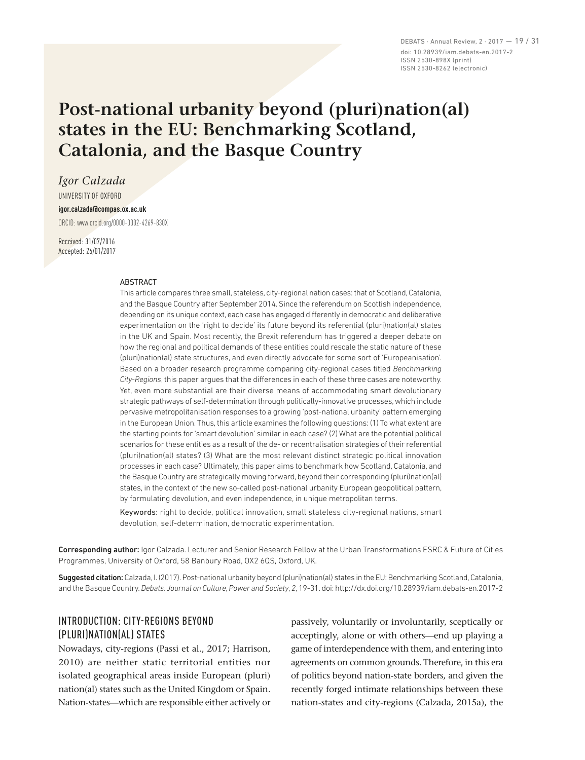DEBATS · Annual Review, 2 · 2017 — 19 / 31 doi: 10.28939/iam.debats-en.2017-2 ISSN 2530-898X (print) ISSN 2530-8262 (electronic)

# **Post-national urbanity beyond (pluri)nation(al) states in the EU: Benchmarking Scotland, Catalonia, and the Basque Country**

*Igor Calzada*

UNIVERSITY OF OXFORD

### **igor.calzada@compas.ox.ac.uk**

ORCID: www.orcid.org/0000‑0002‑4269‑830X

Received: 31/07/2016 Accepted: 26/01/2017

#### ABSTRACT

This article compares three small, stateless, city-regional nation cases: that of Scotland, Catalonia, and the Basque Country after September 2014. Since the referendum on Scottish independence, depending on its unique context, each case has engaged differently in democratic and deliberative experimentation on the 'right to decide' its future beyond its referential (pluri)nation(al) states in the UK and Spain. Most recently, the Brexit referendum has triggered a deeper debate on how the regional and political demands of these entities could rescale the static nature of these (pluri)nation(al) state structures, and even directly advocate for some sort of 'Europeanisation'. Based on a broader research programme comparing city-regional cases titled *Benchmarking City-Regions*, this paper argues that the differences in each of these three cases are noteworthy. Yet, even more substantial are their diverse means of accommodating smart devolutionary strategic pathways of self-determination through politically-innovative processes, which include pervasive metropolitanisation responses to a growing 'post-national urbanity' pattern emerging in the European Union. Thus, this article examines the following questions: (1) To what extent are the starting points for 'smart devolution' similar in each case? (2) What are the potential political scenarios for these entities as a result of the de- or recentralisation strategies of their referential (pluri)nation(al) states? (3) What are the most relevant distinct strategic political innovation processes in each case? Ultimately, this paper aims to benchmark how Scotland, Catalonia, and the Basque Country are strategically moving forward, beyond their corresponding (pluri)nation(al) states, in the context of the new so-called post-national urbanity European geopolitical pattern, by formulating devolution, and even independence, in unique metropolitan terms.

Keywords: right to decide, political innovation, small stateless city-regional nations, smart devolution, self-determination, democratic experimentation.

Corresponding author: Igor Calzada. Lecturer and Senior Research Fellow at the Urban Transformations ESRC & Future of Cities Programmes, University of Oxford, 58 Banbury Road, OX2 6QS, Oxford, UK.

Suggested citation: Calzada, I. (2017). Post-national urbanity beyond (pluri)nation(al) states in the EU: Benchmarking Scotland, Catalonia, and the Basque Country. *Debats. Journal on Culture, Power and Society*, *2*, 19-31. doi: http://dx.doi.org/10.28939/iam.debats-en.2017-2

## INTRODUCTION: CITY-REGIONS BEYOND (PLURI)NATION(AL) STATES

Nowadays, city-regions (Passi et al., 2017; Harrison, 2010) are neither static territorial entities nor isolated geographical areas inside European (pluri) nation(al) states such as the United Kingdom or Spain. Nation-states—which are responsible either actively or

passively, voluntarily or involuntarily, sceptically or acceptingly, alone or with others—end up playing a game of interdependence with them, and entering into agreements on common grounds. Therefore, in this era of politics beyond nation-state borders, and given the recently forged intimate relationships between these nation-states and city-regions (Calzada, 2015a), the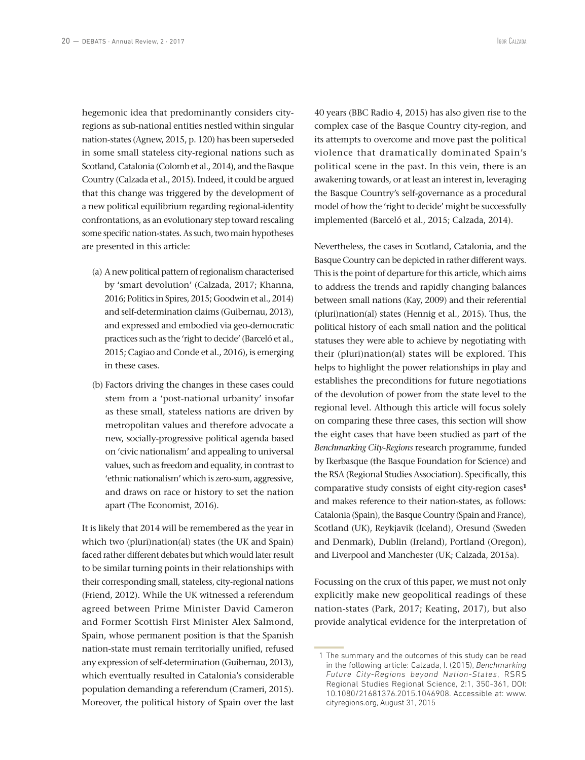hegemonic idea that predominantly considers cityregions as sub-national entities nestled within singular nation-states (Agnew, 2015, p. 120) has been superseded in some small stateless city-regional nations such as Scotland, Catalonia (Colomb et al., 2014), and the Basque Country (Calzada et al., 2015). Indeed, it could be argued that this change was triggered by the development of a new political equilibrium regarding regional-identity confrontations, as an evolutionary step toward rescaling some specific nation-states. As such, two main hypotheses are presented in this article:

- (a) A new political pattern of regionalism characterised by 'smart devolution' (Calzada, 2017; Khanna, 2016; Politics in Spires, 2015; Goodwin et al., 2014) and self-determination claims (Guibernau, 2013), and expressed and embodied via geo-democratic practices such as the 'right to decide' (Barceló et al., 2015; Cagiao and Conde et al., 2016), is emerging in these cases.
- (b) Factors driving the changes in these cases could stem from a 'post-national urbanity' insofar as these small, stateless nations are driven by metropolitan values and therefore advocate a new, socially-progressive political agenda based on 'civic nationalism' and appealing to universal values, such as freedom and equality, in contrast to 'ethnic nationalism' which is zero-sum, aggressive, and draws on race or history to set the nation apart (The Economist, 2016).

It is likely that 2014 will be remembered as the year in which two (pluri)nation(al) states (the UK and Spain) faced rather different debates but which would later result to be similar turning points in their relationships with their corresponding small, stateless, city-regional nations (Friend, 2012). While the UK witnessed a referendum agreed between Prime Minister David Cameron and Former Scottish First Minister Alex Salmond, Spain, whose permanent position is that the Spanish nation-state must remain territorially unified, refused any expression of self-determination (Guibernau, 2013), which eventually resulted in Catalonia's considerable population demanding a referendum (Crameri, 2015). Moreover, the political history of Spain over the last

40 years (BBC Radio 4, 2015) has also given rise to the complex case of the Basque Country city-region, and its attempts to overcome and move past the political violence that dramatically dominated Spain's political scene in the past. In this vein, there is an awakening towards, or at least an interest in, leveraging the Basque Country's self-governance as a procedural model of how the 'right to decide' might be successfully implemented (Barceló et al., 2015; Calzada, 2014).

Nevertheless, the cases in Scotland, Catalonia, and the Basque Country can be depicted in rather different ways. This is the point of departure for this article, which aims to address the trends and rapidly changing balances between small nations (Kay, 2009) and their referential (pluri)nation(al) states (Hennig et al., 2015). Thus, the political history of each small nation and the political statuses they were able to achieve by negotiating with their (pluri)nation(al) states will be explored. This helps to highlight the power relationships in play and establishes the preconditions for future negotiations of the devolution of power from the state level to the regional level. Although this article will focus solely on comparing these three cases, this section will show the eight cases that have been studied as part of the *Benchmarking City-Regions* research programme, funded by Ikerbasque (the Basque Foundation for Science) and the RSA (Regional Studies Association). Specifically, this comparative study consists of eight city-region cases**<sup>1</sup>** and makes reference to their nation-states, as follows: Catalonia (Spain), the Basque Country (Spain and France), Scotland (UK), Reykjavik (Iceland), Oresund (Sweden and Denmark), Dublin (Ireland), Portland (Oregon), and Liverpool and Manchester (UK; Calzada, 2015a).

Focussing on the crux of this paper, we must not only explicitly make new geopolitical readings of these nation-states (Park, 2017; Keating, 2017), but also provide analytical evidence for the interpretation of

 <sup>1</sup> The summary and the outcomes of this study can be read in the following article: Calzada, I. (2015), *Benchmarking Future City-Regions beyond Nation-States*, RSRS Regional Studies Regional Science, 2:1, 350-361, DOI: 10.1080/21681376.2015.1046908. Accessible at: www. cityregions.org, August 31, 2015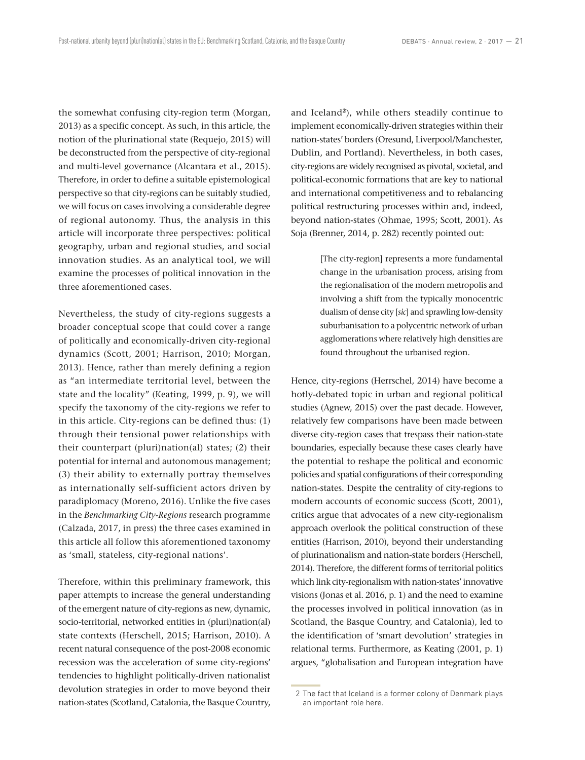the somewhat confusing city-region term (Morgan, 2013) as a specific concept. As such, in this article, the notion of the plurinational state (Requejo, 2015) will be deconstructed from the perspective of city-regional and multi-level governance (Alcantara et al., 2015). Therefore, in order to define a suitable epistemological perspective so that city-regions can be suitably studied, we will focus on cases involving a considerable degree of regional autonomy. Thus, the analysis in this article will incorporate three perspectives: political geography, urban and regional studies, and social innovation studies. As an analytical tool, we will examine the processes of political innovation in the three aforementioned cases.

Nevertheless, the study of city-regions suggests a broader conceptual scope that could cover a range of politically and economically-driven city-regional dynamics (Scott, 2001; Harrison, 2010; Morgan, 2013). Hence, rather than merely defining a region as "an intermediate territorial level, between the state and the locality" (Keating, 1999, p. 9), we will specify the taxonomy of the city-regions we refer to in this article. City-regions can be defined thus: (1) through their tensional power relationships with their counterpart (pluri)nation(al) states; (2) their potential for internal and autonomous management; (3) their ability to externally portray themselves as internationally self-sufficient actors driven by paradiplomacy (Moreno, 2016). Unlike the five cases in the *Benchmarking City-Regions* research programme (Calzada, 2017, in press) the three cases examined in this article all follow this aforementioned taxonomy as 'small, stateless, city-regional nations'.

Therefore, within this preliminary framework, this paper attempts to increase the general understanding of the emergent nature of city-regions as new, dynamic, socio-territorial, networked entities in (pluri)nation(al) state contexts (Herschell, 2015; Harrison, 2010). A recent natural consequence of the post-2008 economic recession was the acceleration of some city-regions' tendencies to highlight politically-driven nationalist devolution strategies in order to move beyond their nation-states (Scotland, Catalonia, the Basque Country,

and Iceland**<sup>2</sup>**), while others steadily continue to implement economically-driven strategies within their nation-states' borders (Oresund, Liverpool/Manchester, Dublin, and Portland). Nevertheless, in both cases, city-regions are widely recognised as pivotal, societal, and political-economic formations that are key to national and international competitiveness and to rebalancing political restructuring processes within and, indeed, beyond nation-states (Ohmae, 1995; Scott, 2001). As Soja (Brenner, 2014, p. 282) recently pointed out:

> [The city-region] represents a more fundamental change in the urbanisation process, arising from the regionalisation of the modern metropolis and involving a shift from the typically monocentric dualism of dense city [*sic*] and sprawling low-density suburbanisation to a polycentric network of urban agglomerations where relatively high densities are found throughout the urbanised region.

Hence, city-regions (Herrschel, 2014) have become a hotly-debated topic in urban and regional political studies (Agnew, 2015) over the past decade. However, relatively few comparisons have been made between diverse city-region cases that trespass their nation-state boundaries, especially because these cases clearly have the potential to reshape the political and economic policies and spatial configurations of their corresponding nation-states. Despite the centrality of city-regions to modern accounts of economic success (Scott, 2001), critics argue that advocates of a new city-regionalism approach overlook the political construction of these entities (Harrison, 2010), beyond their understanding of plurinationalism and nation-state borders (Herschell, 2014). Therefore, the different forms of territorial politics which link city-regionalism with nation-states' innovative visions (Jonas et al. 2016, p. 1) and the need to examine the processes involved in political innovation (as in Scotland, the Basque Country, and Catalonia), led to the identification of 'smart devolution' strategies in relational terms. Furthermore, as Keating (2001, p. 1) argues, "globalisation and European integration have

 <sup>2</sup> The fact that Iceland is a former colony of Denmark plays an important role here.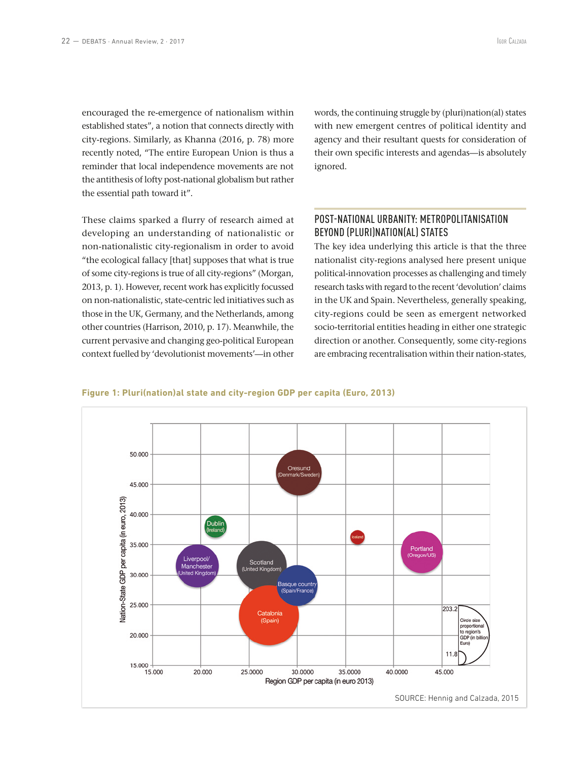established states", a notion that connects directly with city-regions. Similarly, as Khanna (2016, p. 78) more recently noted, "The entire European Union is thus a reminder that local independence movements are not the antithesis of lofty post-national globalism but rather the essential path toward it".

These claims sparked a flurry of research aimed at developing an understanding of nationalistic or non-nationalistic city-regionalism in order to avoid "the ecological fallacy [that] supposes that what is true of some city-regions is true of all city-regions" (Morgan, 2013, p. 1). However, recent work has explicitly focussed on non-nationalistic, state-centric led initiatives such as those in the UK, Germany, and the Netherlands, among other countries (Harrison, 2010, p. 17). Meanwhile, the current pervasive and changing geo-political European context fuelled by 'devolutionist movements'—in other

words, the continuing struggle by (pluri)nation(al) states with new emergent centres of political identity and agency and their resultant quests for consideration of their own specific interests and agendas—is absolutely ignored.

# POST-NATIONAL URBANITY: METROPOLITANISATION BEYOND (PLURI)NATION(AL) STATES

The key idea underlying this article is that the three nationalist city-regions analysed here present unique political-innovation processes as challenging and timely research tasks with regard to the recent 'devolution' claims in the UK and Spain. Nevertheless, generally speaking, city-regions could be seen as emergent networked socio-territorial entities heading in either one strategic direction or another. Consequently, some city-regions are embracing recentralisation within their nation-states,



#### **Figure 1: Pluri(nation)al state and city-region GDP per capita (Euro, 2013)**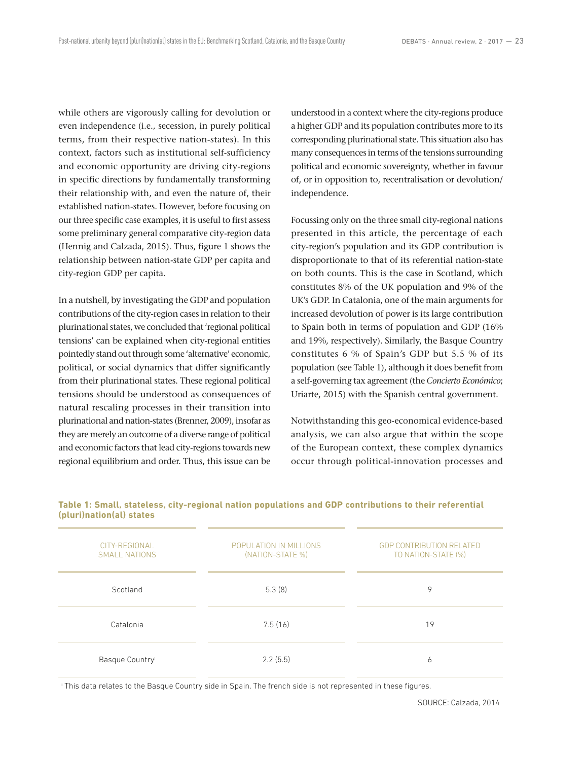while others are vigorously calling for devolution or even independence (i.e., secession, in purely political terms, from their respective nation-states). In this context, factors such as institutional self-sufficiency and economic opportunity are driving city-regions in specific directions by fundamentally transforming their relationship with, and even the nature of, their established nation-states. However, before focusing on our three specific case examples, it is useful to first assess some preliminary general comparative city-region data (Hennig and Calzada, 2015). Thus, figure 1 shows the relationship between nation-state GDP per capita and city-region GDP per capita.

In a nutshell, by investigating the GDP and population contributions of the city-region cases in relation to their plurinational states, we concluded that 'regional political tensions' can be explained when city-regional entities pointedly stand out through some 'alternative' economic, political, or social dynamics that differ significantly from their plurinational states. These regional political tensions should be understood as consequences of natural rescaling processes in their transition into plurinational and nation-states (Brenner, 2009), insofar as they are merely an outcome of a diverse range of political and economic factors that lead city-regions towards new regional equilibrium and order. Thus, this issue can be understood in a context where the city-regions produce a higher GDP and its population contributes more to its corresponding plurinational state. This situation also has many consequences in terms of the tensions surrounding political and economic sovereignty, whether in favour of, or in opposition to, recentralisation or devolution/ independence.

Focussing only on the three small city-regional nations presented in this article, the percentage of each city-region's population and its GDP contribution is disproportionate to that of its referential nation-state on both counts. This is the case in Scotland, which constitutes 8% of the UK population and 9% of the UK's GDP. In Catalonia, one of the main arguments for increased devolution of power is its large contribution to Spain both in terms of population and GDP (16% and 19%, respectively). Similarly, the Basque Country constitutes 6 % of Spain's GDP but 5.5 % of its population (see Table 1), although it does benefit from a self-governing tax agreement (the *Concierto Económico*; Uriarte, 2015) with the Spanish central government.

Notwithstanding this geo-economical evidence-based analysis, we can also argue that within the scope of the European context, these complex dynamics occur through political-innovation processes and

| CITY-REGIONAL<br><b>SMALL NATIONS</b> | POPULATION IN MILLIONS<br>(NATION-STATE %) | <b>GDP CONTRIBUTION RELATED</b><br>TO NATION-STATE (%) |  |
|---------------------------------------|--------------------------------------------|--------------------------------------------------------|--|
| Scotland                              | 5.3(8)                                     | 9                                                      |  |
| Catalonia                             | 7.5(16)                                    | 19                                                     |  |
| Basque Country                        | 2.2(5.5)                                   | 6                                                      |  |

#### **Table 1: Small, stateless, city-regional nation populations and GDP contributions to their referential (pluri)nation(al) states**

i This data relates to the Basque Country side in Spain. The french side is not represented in these figures.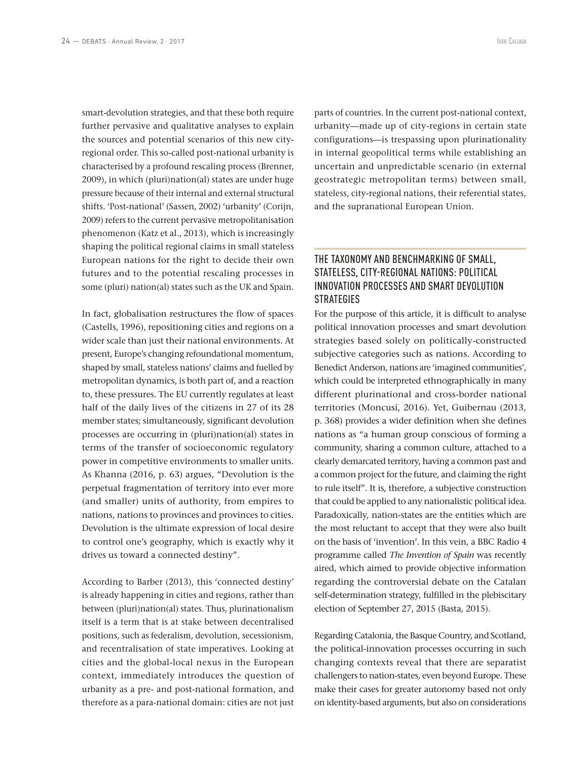smart-devolution strategies, and that these both require further pervasive and qualitative analyses to explain the sources and potential scenarios of this new cityregional order. This so-called post-national urbanity is characterised by a profound rescaling process (Brenner, 2009), in which (pluri)nation(al) states are under huge pressure because of their internal and external structural shifts. 'Post-national' (Sassen, 2002) 'urbanity' (Corijn, 2009) refers to the current pervasive metropolitanisation phenomenon (Katz et al., 2013), which is increasingly shaping the political regional claims in small stateless European nations for the right to decide their own futures and to the potential rescaling processes in some (pluri) nation(al) states such as the UK and Spain.

In fact, globalisation restructures the flow of spaces (Castells, 1996), repositioning cities and regions on a wider scale than just their national environments. At present, Europe's changing refoundational momentum, shaped by small, stateless nations' claims and fuelled by metropolitan dynamics, is both part of, and a reaction to, these pressures. The EU currently regulates at least half of the daily lives of the citizens in 27 of its 28 member states; simultaneously, significant devolution processes are occurring in (pluri)nation(al) states in terms of the transfer of socioeconomic regulatory power in competitive environments to smaller units. As Khanna (2016, p. 63) argues, "Devolution is the perpetual fragmentation of territory into ever more (and smaller) units of authority, from empires to nations, nations to provinces and provinces to cities. Devolution is the ultimate expression of local desire to control one's geography, which is exactly why it drives us toward a connected destiny".

According to Barber (2013), this 'connected destiny' is already happening in cities and regions, rather than between (pluri)nation(al) states. Thus, plurinationalism itself is a term that is at stake between decentralised positions, such as federalism, devolution, secessionism, and recentralisation of state imperatives. Looking at cities and the global-local nexus in the European context, immediately introduces the question of urbanity as a pre- and post-national formation, and therefore as a para-national domain: cities are not just

parts of countries. In the current post-national context, urbanity—made up of city-regions in certain state configurations—is trespassing upon plurinationality in internal geopolitical terms while establishing an uncertain and unpredictable scenario (in external geostrategic metropolitan terms) between small, stateless, city-regional nations, their referential states, and the supranational European Union.

### THE TAXONOMY AND BENCHMARKING OF SMALL, STATELESS, CITY-REGIONAL NATIONS: POLITICAL INNOVATION PROCESSES AND SMART DEVOLUTION **STRATEGIES**

For the purpose of this article, it is difficult to analyse political innovation processes and smart devolution strategies based solely on politically-constructed subjective categories such as nations. According to Benedict Anderson, nations are 'imagined communities', which could be interpreted ethnographically in many different plurinational and cross-border national territories (Moncusí, 2016). Yet, Guibernau (2013, p. 368) provides a wider definition when she defines nations as "a human group conscious of forming a community, sharing a common culture, attached to a clearly demarcated territory, having a common past and a common project for the future, and claiming the right to rule itself". It is, therefore, a subjective construction that could be applied to any nationalistic political idea. Paradoxically, nation-states are the entities which are the most reluctant to accept that they were also built on the basis of 'invention'. In this vein, a BBC Radio 4 programme called *The Invention of Spain* was recently aired, which aimed to provide objective information regarding the controversial debate on the Catalan self-determination strategy, fulfilled in the plebiscitary election of September 27, 2015 (Basta, 2015).

Regarding Catalonia, the Basque Country, and Scotland, the political-innovation processes occurring in such changing contexts reveal that there are separatist challengers to nation-states, even beyond Europe. These make their cases for greater autonomy based not only on identity-based arguments, but also on considerations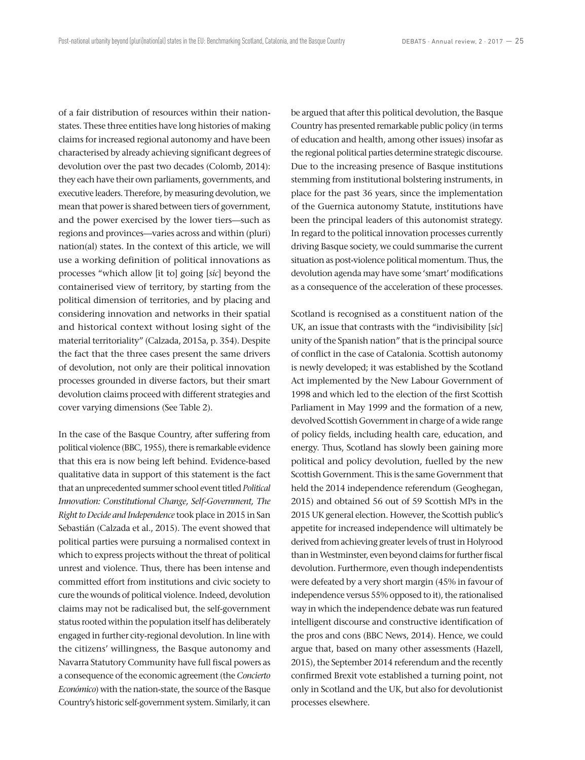of a fair distribution of resources within their nationstates. These three entities have long histories of making claims for increased regional autonomy and have been characterised by already achieving significant degrees of devolution over the past two decades (Colomb, 2014): they each have their own parliaments, governments, and executive leaders. Therefore, by measuring devolution, we mean that power is shared between tiers of government, and the power exercised by the lower tiers—such as regions and provinces—varies across and within (pluri) nation(al) states. In the context of this article, we will use a working definition of political innovations as processes "which allow [it to] going [*sic*] beyond the containerised view of territory, by starting from the political dimension of territories, and by placing and considering innovation and networks in their spatial and historical context without losing sight of the material territoriality" (Calzada, 2015a, p. 354). Despite the fact that the three cases present the same drivers of devolution, not only are their political innovation processes grounded in diverse factors, but their smart devolution claims proceed with different strategies and cover varying dimensions (See Table 2).

In the case of the Basque Country, after suffering from political violence (BBC, 1955), there is remarkable evidence that this era is now being left behind. Evidence-based qualitative data in support of this statement is the fact that an unprecedented summer school event titled *Political Innovation: Constitutional Change, Self-Government, The Right to Decide and Independence* took place in 2015 in San Sebastián (Calzada et al., 2015). The event showed that political parties were pursuing a normalised context in which to express projects without the threat of political unrest and violence. Thus, there has been intense and committed effort from institutions and civic society to cure the wounds of political violence. Indeed, devolution claims may not be radicalised but, the self-government status rooted within the population itself has deliberately engaged in further city-regional devolution. In line with the citizens' willingness, the Basque autonomy and Navarra Statutory Community have full fiscal powers as a consequence of the economic agreement (the *Concierto Económico*) with the nation-state, the source of the Basque Country's historic self-government system. Similarly, it can be argued that after this political devolution, the Basque Country has presented remarkable public policy (in terms of education and health, among other issues) insofar as the regional political parties determine strategic discourse. Due to the increasing presence of Basque institutions stemming from institutional bolstering instruments, in place for the past 36 years, since the implementation of the Guernica autonomy Statute, institutions have been the principal leaders of this autonomist strategy. In regard to the political innovation processes currently driving Basque society, we could summarise the current situation as post-violence political momentum. Thus, the devolution agenda may have some 'smart' modifications as a consequence of the acceleration of these processes.

Scotland is recognised as a constituent nation of the UK, an issue that contrasts with the "indivisibility [*sic*] unity of the Spanish nation" that is the principal source of conflict in the case of Catalonia. Scottish autonomy is newly developed; it was established by the Scotland Act implemented by the New Labour Government of 1998 and which led to the election of the first Scottish Parliament in May 1999 and the formation of a new, devolved Scottish Government in charge of a wide range of policy fields, including health care, education, and energy. Thus, Scotland has slowly been gaining more political and policy devolution, fuelled by the new Scottish Government. This is the same Government that held the 2014 independence referendum (Geoghegan, 2015) and obtained 56 out of 59 Scottish MPs in the 2015 UK general election. However, the Scottish public's appetite for increased independence will ultimately be derived from achieving greater levels of trust in Holyrood than in Westminster, even beyond claims for further fiscal devolution. Furthermore, even though independentists were defeated by a very short margin (45% in favour of independence versus 55% opposed to it), the rationalised way in which the independence debate was run featured intelligent discourse and constructive identification of the pros and cons (BBC News, 2014). Hence, we could argue that, based on many other assessments (Hazell, 2015), the September 2014 referendum and the recently confirmed Brexit vote established a turning point, not only in Scotland and the UK, but also for devolutionist processes elsewhere.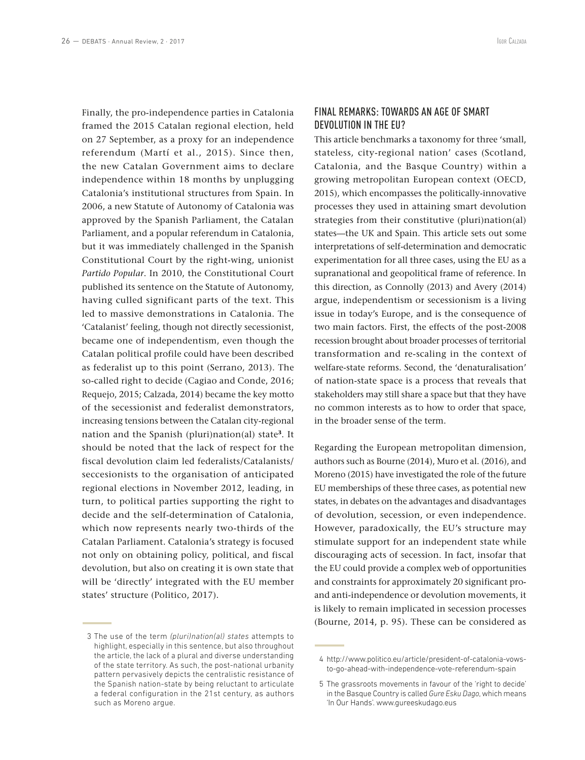Finally, the pro-independence parties in Catalonia framed the 2015 Catalan regional election, held on 27 September, as a proxy for an independence referendum (Martí et al., 2015). Since then, the new Catalan Government aims to declare independence within 18 months by unplugging Catalonia's institutional structures from Spain. In 2006, a new Statute of Autonomy of Catalonia was approved by the Spanish Parliament, the Catalan Parliament, and a popular referendum in Catalonia, but it was immediately challenged in the Spanish Constitutional Court by the right-wing, unionist *Partido Popular*. In 2010, the Constitutional Court published its sentence on the Statute of Autonomy, having culled significant parts of the text. This led to massive demonstrations in Catalonia. The 'Catalanist' feeling, though not directly secessionist, became one of independentism, even though the Catalan political profile could have been described as federalist up to this point (Serrano, 2013). The so-called right to decide (Cagiao and Conde, 2016; Requejo, 2015; Calzada, 2014) became the key motto of the secessionist and federalist demonstrators, increasing tensions between the Catalan city-regional nation and the Spanish (pluri)nation(al) state**<sup>3</sup>**. It should be noted that the lack of respect for the fiscal devolution claim led federalists/Catalanists/ seccesionists to the organisation of anticipated regional elections in November 2012, leading, in turn, to political parties supporting the right to decide and the self-determination of Catalonia, which now represents nearly two-thirds of the Catalan Parliament. Catalonia's strategy is focused not only on obtaining policy, political, and fiscal devolution, but also on creating it is own state that will be 'directly' integrated with the EU member states' structure (Politico, 2017).

### FINAL REMARKS: TOWARDS AN AGE OF SMART DEVOLUTION IN THE EU?

This article benchmarks a taxonomy for three 'small, stateless, city-regional nation' cases (Scotland, Catalonia, and the Basque Country) within a growing metropolitan European context (OECD, 2015), which encompasses the politically-innovative processes they used in attaining smart devolution strategies from their constitutive (pluri)nation(al) states—the UK and Spain. This article sets out some interpretations of self-determination and democratic experimentation for all three cases, using the EU as a supranational and geopolitical frame of reference. In this direction, as Connolly (2013) and Avery (2014) argue, independentism or secessionism is a living issue in today's Europe, and is the consequence of two main factors. First, the effects of the post-2008 recession brought about broader processes of territorial transformation and re-scaling in the context of welfare-state reforms. Second, the 'denaturalisation' of nation-state space is a process that reveals that stakeholders may still share a space but that they have no common interests as to how to order that space, in the broader sense of the term.

Regarding the European metropolitan dimension, authors such as Bourne (2014), Muro et al. (2016), and Moreno (2015) have investigated the role of the future EU memberships of these three cases, as potential new states, in debates on the advantages and disadvantages of devolution, secession, or even independence. However, paradoxically, the EU's structure may stimulate support for an independent state while discouraging acts of secession. In fact, insofar that the EU could provide a complex web of opportunities and constraints for approximately 20 significant proand anti-independence or devolution movements, it is likely to remain implicated in secession processes (Bourne, 2014, p. 95). These can be considered as

<sup>3</sup> The use of the term *(pluri)nation(al) states* attempts to highlight, especially in this sentence, but also throughout the article, the lack of a plural and diverse understanding of the state territory. As such, the post-national urbanity pattern pervasively depicts the centralistic resistance of the Spanish nation-state by being reluctant to articulate a federal configuration in the 21st century, as authors such as Moreno argue.

<sup>4</sup> http://www.politico.eu/article/president-of-catalonia-vowsto-go-ahead-with-independence-vote-referendum-spain

<sup>5</sup> The grassroots movements in favour of the 'right to decide' in the Basque Country is called *Gure Esku Dago*, which means 'In Our Hands'. www.gureeskudago.eus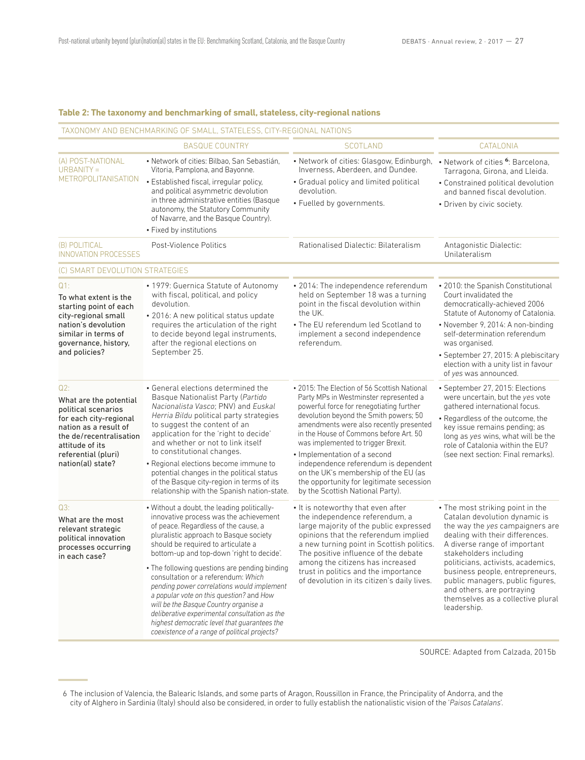#### **Table 2: The taxonomy and benchmarking of small, stateless, city-regional nations**

TAXONOMY AND BENCHMARKING OF SMALL, STATELESS, CITY-REGIONAL NATIONS

|                                                                                                                                                                                                   | <b>BASQUE COUNTRY</b>                                                                                                                                                                                                                                                                                                                                                                                                                                                                                                                                                                                                                   | <b>SCOTLAND</b>                                                                                                                                                                                                                                                                                                                                                                                                                                                                                         | CATALONIA                                                                                                                                                                                                                                                                                                                                                                                        |
|---------------------------------------------------------------------------------------------------------------------------------------------------------------------------------------------------|-----------------------------------------------------------------------------------------------------------------------------------------------------------------------------------------------------------------------------------------------------------------------------------------------------------------------------------------------------------------------------------------------------------------------------------------------------------------------------------------------------------------------------------------------------------------------------------------------------------------------------------------|---------------------------------------------------------------------------------------------------------------------------------------------------------------------------------------------------------------------------------------------------------------------------------------------------------------------------------------------------------------------------------------------------------------------------------------------------------------------------------------------------------|--------------------------------------------------------------------------------------------------------------------------------------------------------------------------------------------------------------------------------------------------------------------------------------------------------------------------------------------------------------------------------------------------|
| (A) POST-NATIONAL<br>$URBANITY =$<br><b>METROPOLITANISATION</b>                                                                                                                                   | · Network of cities: Bilbao, San Sebastián,<br>Vitoria, Pamplona, and Bayonne.<br>· Established fiscal, irregular policy,<br>and political asymmetric devolution<br>in three administrative entities (Basque<br>autonomy, the Statutory Community<br>of Navarre, and the Basque Country).<br>• Fixed by institutions                                                                                                                                                                                                                                                                                                                    | • Network of cities: Glasgow, Edinburgh, • Network of cities <sup>6</sup> : Barcelona,<br>Inverness, Aberdeen, and Dundee.<br>• Gradual policy and limited political<br>devolution.<br>· Fuelled by governments.                                                                                                                                                                                                                                                                                        | Tarragona, Girona, and Lleida.<br>• Constrained political devolution<br>and banned fiscal devolution.<br>• Driven by civic society.                                                                                                                                                                                                                                                              |
| (B) POLITICAL<br>INNOVATION PROCESSES                                                                                                                                                             | Post-Violence Politics                                                                                                                                                                                                                                                                                                                                                                                                                                                                                                                                                                                                                  | Rationalised Dialectic: Bilateralism                                                                                                                                                                                                                                                                                                                                                                                                                                                                    | Antagonistic Dialectic:<br>Unilateralism                                                                                                                                                                                                                                                                                                                                                         |
| (C) SMART DEVOLUTION STRATEGIES                                                                                                                                                                   |                                                                                                                                                                                                                                                                                                                                                                                                                                                                                                                                                                                                                                         |                                                                                                                                                                                                                                                                                                                                                                                                                                                                                                         |                                                                                                                                                                                                                                                                                                                                                                                                  |
| $Q1$ :<br>To what extent is the<br>starting point of each<br>city-regional small<br>nation's devolution<br>similar in terms of<br>governance, history,<br>and policies?                           | • 1979: Guernica Statute of Autonomy<br>with fiscal, political, and policy<br>devolution.<br>· 2016: A new political status update<br>requires the articulation of the right<br>to decide beyond legal instruments,<br>after the regional elections on<br>September 25.                                                                                                                                                                                                                                                                                                                                                                 | · 2014: The independence referendum<br>held on September 18 was a turning<br>point in the fiscal devolution within<br>the UK.<br>• The EU referendum led Scotland to<br>implement a second independence<br>referendum.                                                                                                                                                                                                                                                                                  | • 2010: the Spanish Constitutional<br>Court invalidated the<br>democratically-achieved 2006<br>Statute of Autonomy of Catalonia.<br>• November 9, 2014: A non-binding<br>self-determination referendum<br>was organised.<br>· September 27, 2015: A plebiscitary<br>election with a unity list in favour<br>of yes was announced.                                                                |
| Q2:<br>What are the potential<br>political scenarios<br>for each city-regional<br>nation as a result of<br>the de/recentralisation<br>attitude of its<br>referential (pluri)<br>nation(al) state? | • General elections determined the<br>Basque Nationalist Party (Partido<br>Nacionalista Vasco; PNV) and Euskal<br>Herria Bildu political party strategies<br>to suggest the content of an<br>application for the 'right to decide'<br>and whether or not to link itself<br>to constitutional changes.<br>• Regional elections become immune to<br>potential changes in the political status<br>of the Basque city-region in terms of its<br>relationship with the Spanish nation-state.                                                                                                                                                 | · 2015: The Election of 56 Scottish National<br>Party MPs in Westminster represented a<br>powerful force for renegotiating further<br>devolution beyond the Smith powers; 50<br>amendments were also recently presented<br>in the House of Commons before Art. 50<br>was implemented to trigger Brexit.<br>• Implementation of a second<br>independence referendum is dependent<br>on the UK's membership of the EU (as<br>the opportunity for legitimate secession<br>by the Scottish National Party). | · September 27, 2015: Elections<br>were uncertain, but the yes vote<br>gathered international focus.<br>• Regardless of the outcome, the<br>key issue remains pending; as<br>long as yes wins, what will be the<br>role of Catalonia within the EU?<br>(see next section: Final remarks).                                                                                                        |
| Q3:<br>What are the most<br>relevant strategic<br>political innovation<br>processes occurring<br>in each case?                                                                                    | . Without a doubt, the leading politically-<br>innovative process was the achievement<br>of peace. Regardless of the cause, a<br>pluralistic approach to Basque society<br>should be required to articulate a<br>bottom-up and top-down 'right to decide'.<br>• The following questions are pending binding<br>consultation or a referendum: Which<br>pending power correlations would implement<br>a popular vote on this question? and How<br>will be the Basque Country organise a<br>deliberative experimental consultation as the<br>highest democratic level that quarantees the<br>coexistence of a range of political projects? | • It is noteworthy that even after<br>the independence referendum, a<br>large majority of the public expressed<br>opinions that the referendum implied<br>a new turning point in Scottish politics.<br>The positive influence of the debate<br>among the citizens has increased<br>trust in politics and the importance<br>of devolution in its citizen's daily lives.                                                                                                                                  | • The most striking point in the<br>Catalan devolution dynamic is<br>the way the yes campaigners are<br>dealing with their differences.<br>A diverse range of important<br>stakeholders including<br>politicians, activists, academics,<br>business people, entrepreneurs,<br>public managers, public figures,<br>and others, are portraying<br>themselves as a collective plural<br>leadership. |

SOURCE: Adapted from Calzada, 2015b

<sup>6</sup> The inclusion of Valencia, the Balearic Islands, and some parts of Aragon, Roussillon in France, the Principality of Andorra, and the city of Alghero in Sardinia (Italy) should also be considered, in order to fully establish the nationalistic vision of the '*Paisos Catalans*'.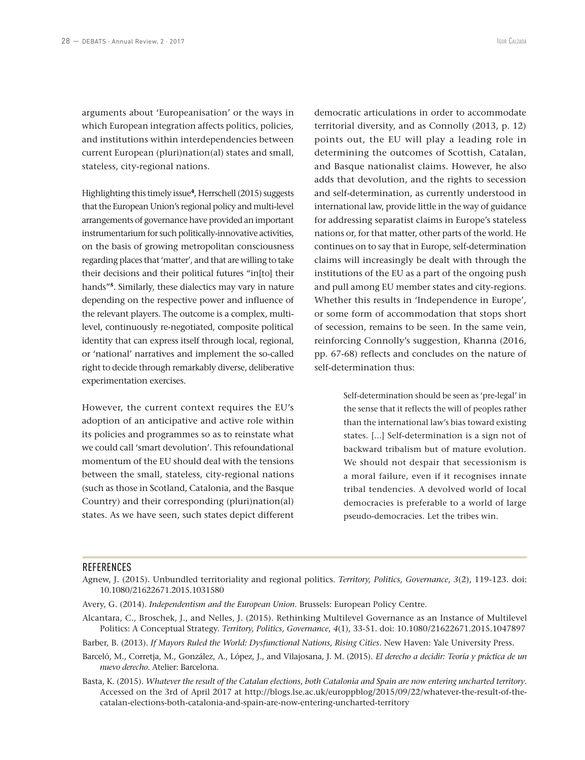arguments about 'Europeanisation' or the ways in which European integration affects politics, policies, and institutions within interdependencies between current European (pluri)nation(al) states and small, stateless, city-regional nations.

Highlighting this timely issue**<sup>4</sup>**, Herrschell (2015) suggests that the European Union's regional policy and multi-level arrangements of governance have provided an important instrumentarium for such politically-innovative activities, on the basis of growing metropolitan consciousness regarding places that 'matter', and that are willing to take their decisions and their political futures "in[to] their hands"**<sup>5</sup>**. Similarly, these dialectics may vary in nature depending on the respective power and influence of the relevant players. The outcome is a complex, multilevel, continuously re-negotiated, composite political identity that can express itself through local, regional, or 'national' narratives and implement the so-called right to decide through remarkably diverse, deliberative experimentation exercises.

However, the current context requires the EU's adoption of an anticipative and active role within its policies and programmes so as to reinstate what we could call 'smart devolution'. This refoundational momentum of the EU should deal with the tensions between the small, stateless, city-regional nations (such as those in Scotland, Catalonia, and the Basque Country) and their corresponding (pluri)nation(al) states. As we have seen, such states depict different

democratic articulations in order to accommodate territorial diversity, and as Connolly (2013, p. 12) points out, the EU will play a leading role in determining the outcomes of Scottish, Catalan, and Basque nationalist claims. However, he also adds that devolution, and the rights to secession and self-determination, as currently understood in international law, provide little in the way of guidance for addressing separatist claims in Europe's stateless nations or, for that matter, other parts of the world. He continues on to say that in Europe, self-determination claims will increasingly be dealt with through the institutions of the EU as a part of the ongoing push and pull among EU member states and city-regions. Whether this results in 'Independence in Europe', or some form of accommodation that stops short of secession, remains to be seen. In the same vein, reinforcing Connolly's suggestion, Khanna (2016, pp. 67-68) reflects and concludes on the nature of self-determination thus:

> Self-determination should be seen as 'pre-legal' in the sense that it reflects the will of peoples rather than the international law's bias toward existing states. [...] Self-determination is a sign not of backward tribalism but of mature evolution. We should not despair that secessionism is a moral failure, even if it recognises innate tribal tendencies. A devolved world of local democracies is preferable to a world of large pseudo-democracies. Let the tribes win.

#### **REFERENCES**

- Alcantara, C., Broschek, J., and Nelles, J. (2015). Rethinking Multilevel Governance as an Instance of Multilevel Politics: A Conceptual Strategy. *Territory, Politics, Governance*, *4*(1), 33-51. doi: 10.1080/21622671.2015.1047897
- Barber, B. (2013). *If Mayors Ruled the World: Dysfunctional Nations, Rising Cities*. New Haven: Yale University Press.
- Barceló, M., Corretja, M., González, A., López, J., and Vilajosana, J. M. (2015). *El derecho a decidir: Teoría y práctica de un nuevo derecho*. Atelier: Barcelona.
- Basta, K. (2015). *Whatever the result of the Catalan elections, both Catalonia and Spain are now entering uncharted territory*. Accessed on the 3rd of April 2017 at http://blogs.lse.ac.uk/europpblog/2015/09/22/whatever-the-result-of-thecatalan-elections-both-catalonia-and-spain-are-now-entering-uncharted-territory

Agnew, J. (2015). Unbundled territoriality and regional politics. *Territory, Politics, Governance*, *3*(2), 119-123. doi: 10.1080/21622671.2015.1031580

Avery, G. (2014). *Independentism and the European Union*. Brussels: European Policy Centre.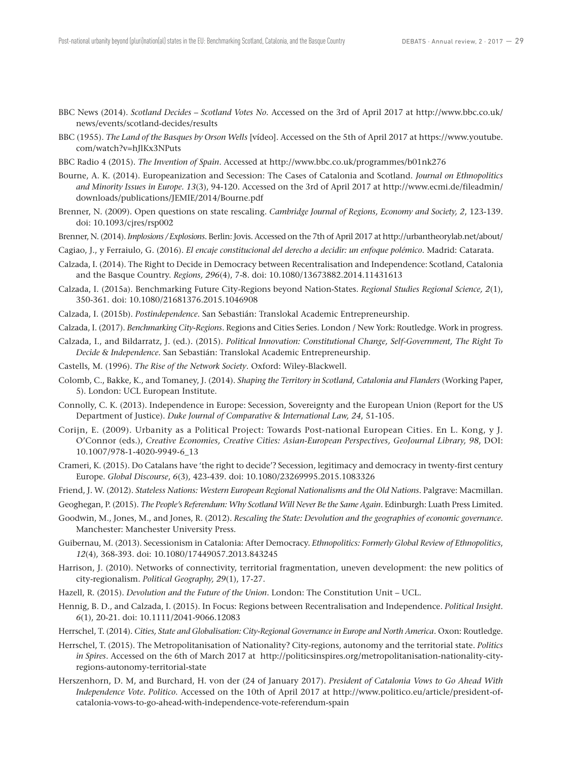- BBC News (2014). *Scotland Decides Scotland Votes No*. Accessed on the 3rd of April 2017 at http://www.bbc.co.uk/ news/events/scotland-decides/results
- BBC (1955). *The Land of the Basques by Orson Wells* [vídeo]. Accessed on the 5th of April 2017 at https://www.youtube. com/watch?v=hJlKx3NPuts
- BBC Radio 4 (2015). *The Invention of Spain*. Accessed at http://www.bbc.co.uk/programmes/b01nk276
- Bourne, A. K. (2014). Europeanization and Secession: The Cases of Catalonia and Scotland. *Journal on Ethnopolitics and Minority Issues in Europe. 13*(3), 94-120. Accessed on the 3rd of April 2017 at http://www.ecmi.de/fileadmin/ downloads/publications/JEMIE/2014/Bourne.pdf
- Brenner, N. (2009). Open questions on state rescaling. *Cambridge Journal of Regions, Economy and Society, 2*, 123-139. doi: 10.1093/cjres/rsp002
- Brenner, N. (2014). *Implosions / Explosions*. Berlin: Jovis. Accessed on the 7th of April 2017 at http://urbantheorylab.net/about/
- Cagiao, J., y Ferraiulo, G. (2016). *El encaje constitucional del derecho a decidir: un enfoque polémico*. Madrid: Catarata.
- Calzada, I. (2014). The Right to Decide in Democracy between Recentralisation and Independence: Scotland, Catalonia and the Basque Country. *Regions, 296*(4), 7-8. doi: 10.1080/13673882.2014.11431613
- Calzada, I. (2015a). Benchmarking Future City-Regions beyond Nation-States. *Regional Studies Regional Science, 2*(1), 350-361. doi: 10.1080/21681376.2015.1046908
- Calzada, I. (2015b). *Postindependence*. San Sebastián: Translokal Academic Entrepreneurship.
- Calzada, I. (2017). *Benchmarking City-Regions*. Regions and Cities Series. London / New York: Routledge. Work in progress.
- Calzada, I., and Bildarratz, J. (ed.). (2015). *Political Innovation: Constitutional Change, Self-Government, The Right To Decide & Independence*. San Sebastián: Translokal Academic Entrepreneurship.
- Castells, M. (1996). *The Rise of the Network Society*. Oxford: Wiley-Blackwell.
- Colomb, C., Bakke, K., and Tomaney, J. (2014). *Shaping the Territory in Scotland, Catalonia and Flanders* (Working Paper, 5). London: UCL European Institute.
- Connolly, C. K. (2013). Independence in Europe: Secession, Sovereignty and the European Union (Report for the US Department of Justice). *Duke Journal of Comparative & International Law, 24*, 51-105.
- Corijn, E. (2009). Urbanity as a Political Project: Towards Post-national European Cities. En L. Kong, y J. O'Connor (eds.), *Creative Economies, Creative Cities: Asian-European Perspectives, GeoJournal Library, 98*, DOI: 10.1007/978-1-4020-9949-6\_13
- Crameri, K. (2015). Do Catalans have 'the right to decide'? Secession, legitimacy and democracy in twenty-first century Europe. *Global Discourse*, *6*(3), 423-439. doi: 10.1080/23269995.2015.1083326
- Friend, J. W. (2012). *Stateless Nations: Western European Regional Nationalisms and the Old Nations*. Palgrave: Macmillan.
- Geoghegan, P. (2015). *The People's Referendum: Why Scotland Will Never Be the Same Again*. Edinburgh: Luath Press Limited.
- Goodwin, M., Jones, M., and Jones, R. (2012). *Rescaling the State: Devolution and the geographies of economic governance*. Manchester: Manchester University Press.
- Guibernau, M. (2013). Secessionism in Catalonia: After Democracy. *Ethnopolitics: Formerly Global Review of Ethnopolitics*, *12*(4), 368-393. doi: 10.1080/17449057.2013.843245
- Harrison, J. (2010). Networks of connectivity, territorial fragmentation, uneven development: the new politics of city-regionalism. *Political Geography, 29*(1), 17-27.
- Hazell, R. (2015). *Devolution and the Future of the Union*. London: The Constitution Unit UCL.
- Hennig, B. D., and Calzada, I. (2015). In Focus: Regions between Recentralisation and Independence. *Political Insight*. *6*(1), 20-21. doi: 10.1111/2041-9066.12083
- Herrschel, T. (2014). *Cities, State and Globalisation: City-Regional Governance in Europe and North America*. Oxon: Routledge.
- Herrschel, T. (2015). The Metropolitanisation of Nationality? City-regions, autonomy and the territorial state. *Politics in Spires*. Accessed on the 6th of March 2017 at http://politicsinspires.org/metropolitanisation-nationality-cityregions-autonomy-territorial-state
- Herszenhorn, D. M, and Burchard, H. von der (24 of January 2017). *President of Catalonia Vows to Go Ahead With Independence Vote. Politico*. Accessed on the 10th of April 2017 at http://www.politico.eu/article/president-ofcatalonia-vows-to-go-ahead-with-independence-vote-referendum-spain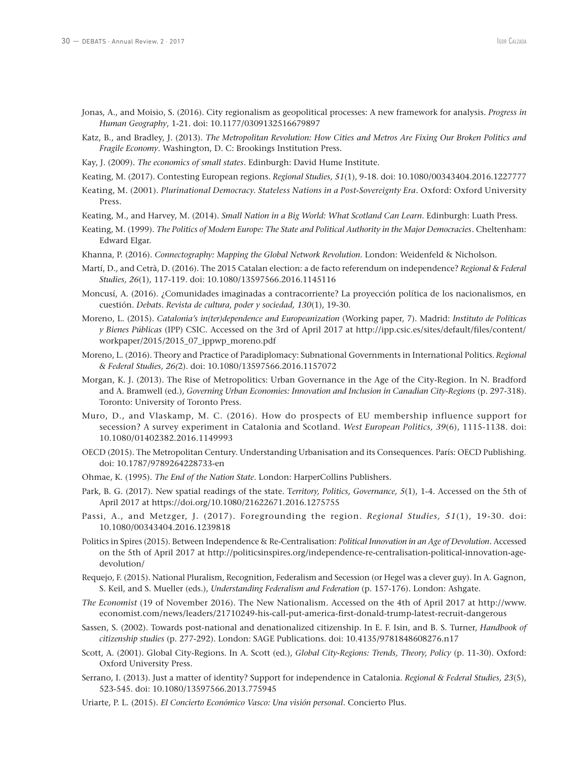- Jonas, A., and Moisio, S. (2016). City regionalism as geopolitical processes: A new framework for analysis. *Progress in Human Geography*, 1-21. doi: 10.1177/0309132516679897
- Katz, B., and Bradley, J. (2013). *The Metropolitan Revolution: How Cities and Metros Are Fixing Our Broken Politics and Fragile Economy*. Washington, D. C: Brookings Institution Press.
- Kay, J. (2009). *The economics of small states*. Edinburgh: David Hume Institute.
- Keating, M. (2017). Contesting European regions. *Regional Studies, 51*(1), 9-18. doi: 10.1080/00343404.2016.1227777
- Keating, M. (2001). *Plurinational Democracy. Stateless Nations in a Post-Sovereignty Era*. Oxford: Oxford University Press.
- Keating, M., and Harvey, M. (2014). *Small Nation in a Big World: What Scotland Can Learn*. Edinburgh: Luath Press.
- Keating, M. (1999). *The Politics of Modern Europe: The State and Political Authority in the Major Democracies*. Cheltenham: Edward Elgar.
- Khanna, P. (2016). *Connectography: Mapping the Global Network Revolution*. London: Weidenfeld & Nicholson.
- Martí, D., and Cetrà, D. (2016). The 2015 Catalan election: a de facto referendum on independence? *Regional & Federal Studies, 26*(1), 117-119. doi: 10.1080/13597566.2016.1145116
- Moncusí, A. (2016). ¿Comunidades imaginadas a contracorriente? La proyección política de los nacionalismos, en cuestión. *Debats. Revista de cultura, poder y sociedad, 130*(1), 19-30.
- Moreno, L. (2015). *Catalonia's in(ter)dependence and Europeanization* (Working paper, 7). Madrid: *Instituto de Políticas y Bienes Públicas* (IPP) CSIC. Accessed on the 3rd of April 2017 at http://ipp.csic.es/sites/default/files/content/ workpaper/2015/2015\_07\_ippwp\_moreno.pdf
- Moreno, L. (2016). Theory and Practice of Paradiplomacy: Subnational Governments in International Politics. *Regional & Federal Studies, 26(*2). doi: 10.1080/13597566.2016.1157072
- Morgan, K. J. (2013). The Rise of Metropolitics: Urban Governance in the Age of the City-Region. In N. Bradford and A. Bramwell (ed.), *Governing Urban Economies: Innovation and Inclusion in Canadian City-Regions* (p. 297-318). Toronto: University of Toronto Press.
- Muro, D., and Vlaskamp, M. C. (2016). How do prospects of EU membership influence support for secession? A survey experiment in Catalonia and Scotland. *West European Politics, 39*(6), 1115-1138. doi: 10.1080/01402382.2016.1149993
- OECD (2015). The Metropolitan Century. Understanding Urbanisation and its Consequences. París: OECD Publishing. doi: 10.1787/9789264228733-en
- Ohmae, K. (1995). *The End of the Nation State*. London: HarperCollins Publishers.
- Park, B. G. (2017). New spatial readings of the state. T*erritory, Politics, Governance, 5*(1), 1-4. Accessed on the 5th of April 2017 at https://doi.org/10.1080/21622671.2016.1275755
- Passi, A., and Metzger, J. (2017). Foregrounding the region. *Regional Studies, 51*(1), 19-30. doi: 10.1080/00343404.2016.1239818
- Politics in Spires (2015). Between Independence & Re-Centralisation: *Political Innovation in an Age of Devolution*. Accessed on the 5th of April 2017 at http://politicsinspires.org/independence-re-centralisation-political-innovation-agedevolution/
- Requejo, F. (2015). National Pluralism, Recognition, Federalism and Secession (or Hegel was a clever guy). In A. Gagnon, S. Keil, and S. Mueller (eds.), *Understanding Federalism and Federation* (p. 157-176). London: Ashgate.
- *The Economist* (19 of November 2016). The New Nationalism. Accessed on the 4th of April 2017 at http://www. economist.com/news/leaders/21710249-his-call-put-america-first-donald-trump-latest-recruit-dangerous
- Sassen, S. (2002). Towards post-national and denationalized citizenship. In E. F. Isin, and B. S. Turner, *Handbook of citizenship studies* (p. 277-292). London: SAGE Publications. doi: 10.4135/9781848608276.n17
- Scott, A. (2001). Global City-Regions. In A. Scott (ed.), *Global City-Regions: Trends, Theory, Policy* (p. 11-30). Oxford: Oxford University Press.
- Serrano, I. (2013). Just a matter of identity? Support for independence in Catalonia. *Regional & Federal Studies, 23*(5), 523-545. doi: 10.1080/13597566.2013.775945
- Uriarte, P. L. (2015). *El Concierto Económico Vasco: Una visión personal*. Concierto Plus.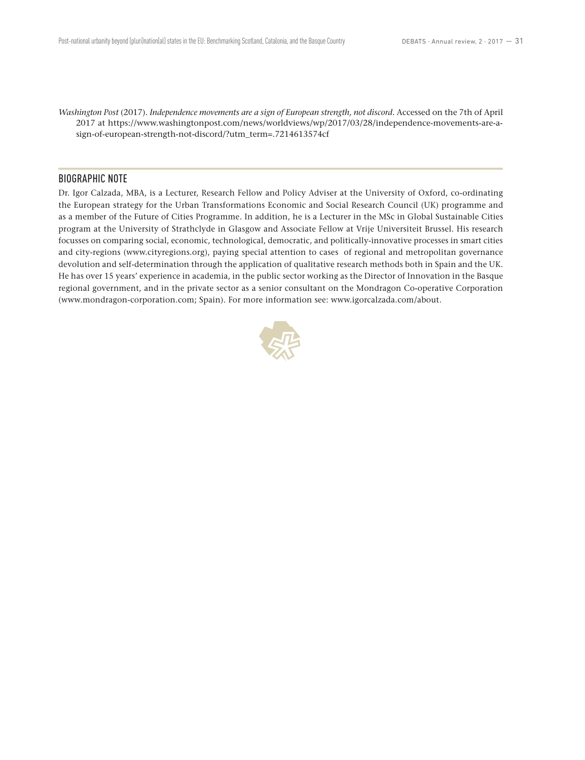*Washington Post* (2017). *Independence movements are a sign of European strength, not discord*. Accessed on the 7th of April 2017 at https://www.washingtonpost.com/news/worldviews/wp/2017/03/28/independence-movements-are-asign-of-european-strength-not-discord/?utm\_term=.7214613574cf

### BIOGRAPHIC NOTE

Dr. Igor Calzada, MBA, is a Lecturer, Research Fellow and Policy Adviser at the University of Oxford, co-ordinating the European strategy for the Urban Transformations Economic and Social Research Council (UK) programme and as a member of the Future of Cities Programme. In addition, he is a Lecturer in the MSc in Global Sustainable Cities program at the University of Strathclyde in Glasgow and Associate Fellow at Vrije Universiteit Brussel. His research focusses on comparing social, economic, technological, democratic, and politically-innovative processes in smart cities and city-regions (www.cityregions.org), paying special attention to cases of regional and metropolitan governance devolution and self-determination through the application of qualitative research methods both in Spain and the UK. He has over 15 years' experience in academia, in the public sector working as the Director of Innovation in the Basque regional government, and in the private sector as a senior consultant on the Mondragon Co-operative Corporation (www.mondragon-corporation.com; Spain). For more information see: www.igorcalzada.com/about.